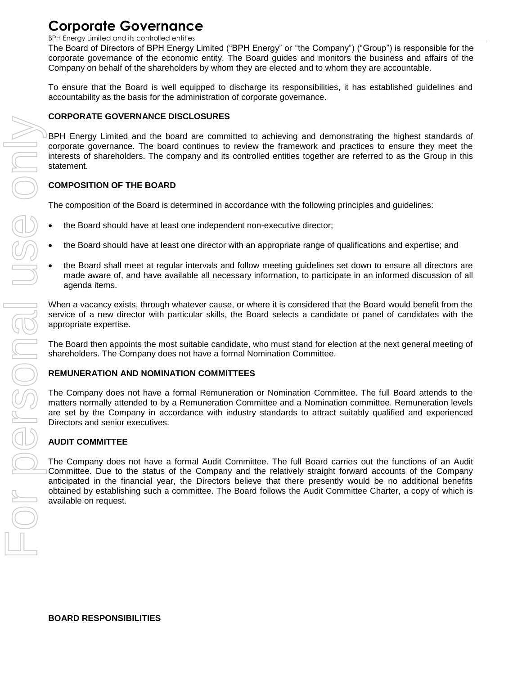BPH Energy Limited and its controlled entities

The Board of Directors of BPH Energy Limited ("BPH Energy" or "the Company") ("Group") is responsible for the corporate governance of the economic entity. The Board guides and monitors the business and affairs of the Company on behalf of the shareholders by whom they are elected and to whom they are accountable.

To ensure that the Board is well equipped to discharge its responsibilities, it has established guidelines and accountability as the basis for the administration of corporate governance.

## **CORPORATE GOVERNANCE DISCLOSURES**

BPH Energy Limited and the board are committed to achieving and demonstrating the highest standards of corporate governance. The board continues to review the framework and practices to ensure they meet the interests of shareholders. The company and its controlled entities together are referred to as the Group in this statement.

# **COMPOSITION OF THE BOARD**

The composition of the Board is determined in accordance with the following principles and guidelines:

- the Board should have at least one independent non-executive director;
- the Board should have at least one director with an appropriate range of qualifications and expertise; and
- the Board shall meet at regular intervals and follow meeting guidelines set down to ensure all directors are made aware of, and have available all necessary information, to participate in an informed discussion of all agenda items.

When a vacancy exists, through whatever cause, or where it is considered that the Board would benefit from the service of a new director with particular skills, the Board selects a candidate or panel of candidates with the appropriate expertise.

The Board then appoints the most suitable candidate, who must stand for election at the next general meeting of shareholders. The Company does not have a formal Nomination Committee.

## **REMUNERATION AND NOMINATION COMMITTEES**

The Company does not have a formal Remuneration or Nomination Committee. The full Board attends to the matters normally attended to by a Remuneration Committee and a Nomination committee. Remuneration levels are set by the Company in accordance with industry standards to attract suitably qualified and experienced Directors and senior executives.

# **AUDIT COMMITTEE**

The Company does not have a formal Audit Committee. The full Board carries out the functions of an Audit Committee. Due to the status of the Company and the relatively straight forward accounts of the Company anticipated in the financial year, the Directors believe that there presently would be no additional benefits obtained by establishing such a committee. The Board follows the Audit Committee Charter, a copy of which is available on request.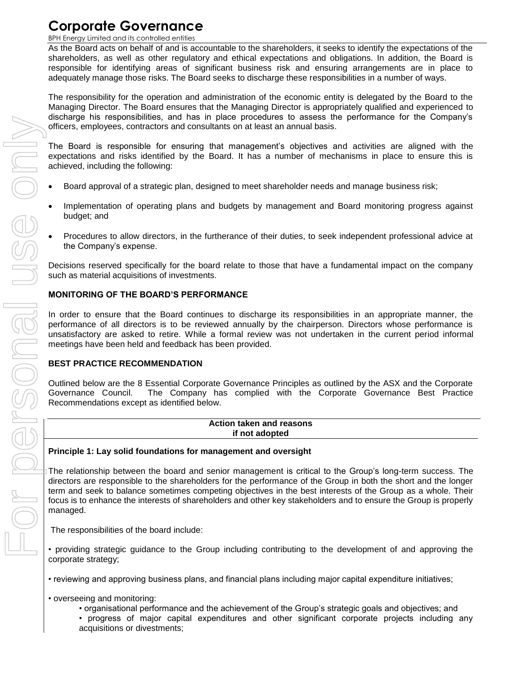BPH Energy Limited and its controlled entities

As the Board acts on behalf of and is accountable to the shareholders, it seeks to identify the expectations of the shareholders, as well as other regulatory and ethical expectations and obligations. In addition, the Board is responsible for identifying areas of significant business risk and ensuring arrangements are in place to adequately manage those risks. The Board seeks to discharge these responsibilities in a number of ways.

The responsibility for the operation and administration of the economic entity is delegated by the Board to the Managing Director. The Board ensures that the Managing Director is appropriately qualified and experienced to discharge his responsibilities, and has in place procedures to assess the performance for the Company's officers, employees, contractors and consultants on at least an annual basis.

The Board is responsible for ensuring that management's objectives and activities are aligned with the expectations and risks identified by the Board. It has a number of mechanisms in place to ensure this is achieved, including the following:

- Board approval of a strategic plan, designed to meet shareholder needs and manage business risk;
- Implementation of operating plans and budgets by management and Board monitoring progress against budget; and
- Procedures to allow directors, in the furtherance of their duties, to seek independent professional advice at the Company's expense.

Decisions reserved specifically for the board relate to those that have a fundamental impact on the company such as material acquisitions of investments.

## **MONITORING OF THE BOARD'S PERFORMANCE**

In order to ensure that the Board continues to discharge its responsibilities in an appropriate manner, the performance of all directors is to be reviewed annually by the chairperson. Directors whose performance is unsatisfactory are asked to retire. While a formal review was not undertaken in the current period informal meetings have been held and feedback has been provided.

## **BEST PRACTICE RECOMMENDATION**

Outlined below are the 8 Essential Corporate Governance Principles as outlined by the ASX and the Corporate Governance Council. The Company has complied with the Corporate Governance Best Practice Recommendations except as identified below.

## **Action taken and reasons if not adopted**

## **Principle 1: Lay solid foundations for management and oversight**

The relationship between the board and senior management is critical to the Group's long-term success. The directors are responsible to the shareholders for the performance of the Group in both the short and the longer term and seek to balance sometimes competing objectives in the best interests of the Group as a whole. Their focus is to enhance the interests of shareholders and other key stakeholders and to ensure the Group is properly managed.

The responsibilities of the board include:

- providing strategic guidance to the Group including contributing to the development of and approving the corporate strategy;
- reviewing and approving business plans, and financial plans including major capital expenditure initiatives;
- overseeing and monitoring:
	- organisational performance and the achievement of the Group's strategic goals and objectives; and
	- progress of major capital expenditures and other significant corporate projects including any acquisitions or divestments;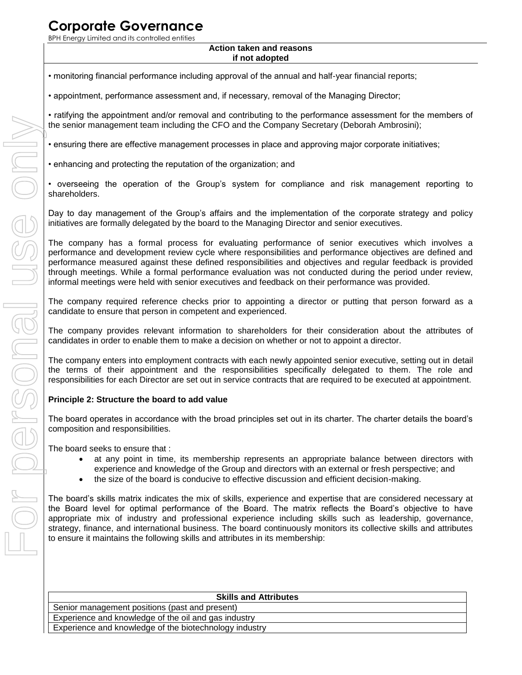BPH Energy Limited and its controlled entities

#### **Action taken and reasons if not adopted**

- monitoring financial performance including approval of the annual and half-year financial reports;
- appointment, performance assessment and, if necessary, removal of the Managing Director;
- ratifying the appointment and/or removal and contributing to the performance assessment for the members of the senior management team including the CFO and the Company Secretary (Deborah Ambrosini);
- ensuring there are effective management processes in place and approving major corporate initiatives;
- enhancing and protecting the reputation of the organization; and
- overseeing the operation of the Group's system for compliance and risk management reporting to shareholders.

Day to day management of the Group's affairs and the implementation of the corporate strategy and policy initiatives are formally delegated by the board to the Managing Director and senior executives.

The company has a formal process for evaluating performance of senior executives which involves a performance and development review cycle where responsibilities and performance objectives are defined and performance measured against these defined responsibilities and objectives and regular feedback is provided through meetings. While a formal performance evaluation was not conducted during the period under review, informal meetings were held with senior executives and feedback on their performance was provided.

The company required reference checks prior to appointing a director or putting that person forward as a candidate to ensure that person in competent and experienced.

The company provides relevant information to shareholders for their consideration about the attributes of candidates in order to enable them to make a decision on whether or not to appoint a director.

The company enters into employment contracts with each newly appointed senior executive, setting out in detail the terms of their appointment and the responsibilities specifically delegated to them. The role and responsibilities for each Director are set out in service contracts that are required to be executed at appointment.

## **Principle 2: Structure the board to add value**

The board operates in accordance with the broad principles set out in its charter. The charter details the board's composition and responsibilities.

The board seeks to ensure that :

- at any point in time, its membership represents an appropriate balance between directors with experience and knowledge of the Group and directors with an external or fresh perspective; and
- the size of the board is conducive to effective discussion and efficient decision-making.

The board's skills matrix indicates the mix of skills, experience and expertise that are considered necessary at the Board level for optimal performance of the Board. The matrix reflects the Board's objective to have appropriate mix of industry and professional experience including skills such as leadership, governance, strategy, finance, and international business. The board continuously monitors its collective skills and attributes to ensure it maintains the following skills and attributes in its membership:

| <b>Skills and Attributes</b>                           |
|--------------------------------------------------------|
| Senior management positions (past and present)         |
| Experience and knowledge of the oil and gas industry   |
| Experience and knowledge of the biotechnology industry |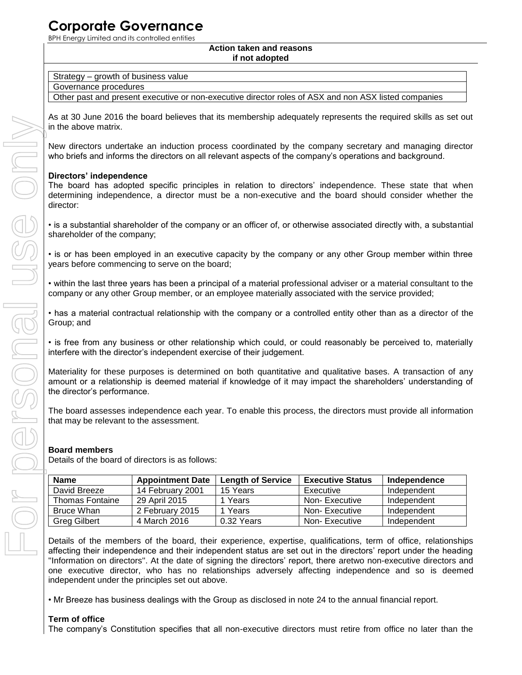BPH Energy Limited and its controlled entities

#### **Action taken and reasons if not adopted**

|  | Strategy – growth of business value |
|--|-------------------------------------|
|--|-------------------------------------|

Governance procedures

Other past and present executive or non-executive director roles of ASX and non ASX listed companies

As at 30 June 2016 the board believes that its membership adequately represents the required skills as set out in the above matrix.

New directors undertake an induction process coordinated by the company secretary and managing director who briefs and informs the directors on all relevant aspects of the company's operations and background.

# **Directors' independence**

The board has adopted specific principles in relation to directors' independence. These state that when determining independence, a director must be a non-executive and the board should consider whether the director:

• is a substantial shareholder of the company or an officer of, or otherwise associated directly with, a substantial shareholder of the company;

• is or has been employed in an executive capacity by the company or any other Group member within three years before commencing to serve on the board;

• within the last three years has been a principal of a material professional adviser or a material consultant to the company or any other Group member, or an employee materially associated with the service provided;

• has a material contractual relationship with the company or a controlled entity other than as a director of the Group; and

• is free from any business or other relationship which could, or could reasonably be perceived to, materially interfere with the director's independent exercise of their judgement.

Materiality for these purposes is determined on both quantitative and qualitative bases. A transaction of any amount or a relationship is deemed material if knowledge of it may impact the shareholders' understanding of the director's performance.

The board assesses independence each year. To enable this process, the directors must provide all information that may be relevant to the assessment.

# **Board members**

Details of the board of directors is as follows:

| <b>Name</b>            | <b>Appointment Date</b> | <b>Length of Service</b> | <b>Executive Status</b> | Independence |
|------------------------|-------------------------|--------------------------|-------------------------|--------------|
| David Breeze           | 14 February 2001        | 15 Years                 | Executive               | Independent  |
| <b>Thomas Fontaine</b> | 29 April 2015           | Years                    | Non-Executive           | Independent  |
| Bruce Whan             | 2 February 2015         | 1 Years                  | Non-Executive           | Independent  |
| <b>Greg Gilbert</b>    | 4 March 2016            | 0.32 Years               | Non-Executive           | Independent  |

Details of the members of the board, their experience, expertise, qualifications, term of office, relationships affecting their independence and their independent status are set out in the directors' report under the heading ''Information on directors''. At the date of signing the directors' report, there aretwo non-executive directors and one executive director, who has no relationships adversely affecting independence and so is deemed independent under the principles set out above.

• Mr Breeze has business dealings with the Group as disclosed in note 24 to the annual financial report.

# **Term of office**

The company's Constitution specifies that all non-executive directors must retire from office no later than the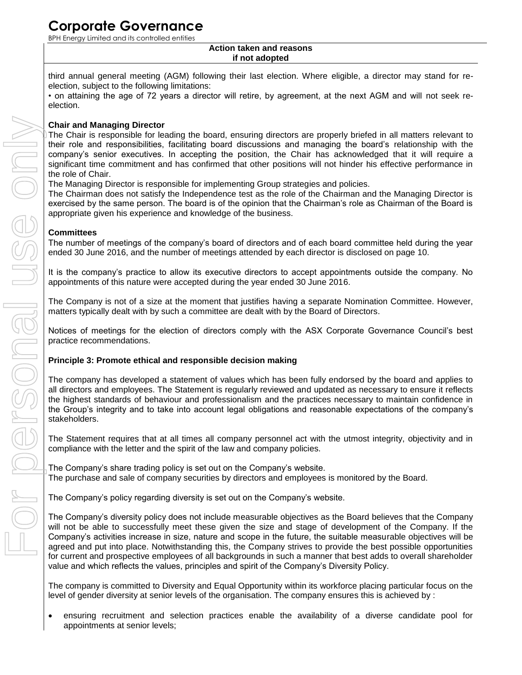BPH Energy Limited and its controlled entities

#### **Action taken and reasons if not adopted**

third annual general meeting (AGM) following their last election. Where eligible, a director may stand for reelection, subject to the following limitations:

• on attaining the age of 72 years a director will retire, by agreement, at the next AGM and will not seek reelection.

## **Chair and Managing Director**

The Chair is responsible for leading the board, ensuring directors are properly briefed in all matters relevant to their role and responsibilities, facilitating board discussions and managing the board's relationship with the company's senior executives. In accepting the position, the Chair has acknowledged that it will require a significant time commitment and has confirmed that other positions will not hinder his effective performance in the role of Chair.

The Managing Director is responsible for implementing Group strategies and policies.

The Chairman does not satisfy the Independence test as the role of the Chairman and the Managing Director is exercised by the same person. The board is of the opinion that the Chairman's role as Chairman of the Board is appropriate given his experience and knowledge of the business.

## **Committees**

The number of meetings of the company's board of directors and of each board committee held during the year ended 30 June 2016, and the number of meetings attended by each director is disclosed on page 10.

It is the company's practice to allow its executive directors to accept appointments outside the company. No appointments of this nature were accepted during the year ended 30 June 2016.

The Company is not of a size at the moment that justifies having a separate Nomination Committee. However, matters typically dealt with by such a committee are dealt with by the Board of Directors.

Notices of meetings for the election of directors comply with the ASX Corporate Governance Council's best practice recommendations.

## **Principle 3: Promote ethical and responsible decision making**

The company has developed a statement of values which has been fully endorsed by the board and applies to all directors and employees. The Statement is regularly reviewed and updated as necessary to ensure it reflects the highest standards of behaviour and professionalism and the practices necessary to maintain confidence in the Group's integrity and to take into account legal obligations and reasonable expectations of the company's stakeholders.

The Statement requires that at all times all company personnel act with the utmost integrity, objectivity and in compliance with the letter and the spirit of the law and company policies.

The Company's share trading policy is set out on the Company's website. The purchase and sale of company securities by directors and employees is monitored by the Board.

The Company's policy regarding diversity is set out on the Company's website.

The Company's diversity policy does not include measurable objectives as the Board believes that the Company will not be able to successfully meet these given the size and stage of development of the Company. If the Company's activities increase in size, nature and scope in the future, the suitable measurable objectives will be agreed and put into place. Notwithstanding this, the Company strives to provide the best possible opportunities for current and prospective employees of all backgrounds in such a manner that best adds to overall shareholder value and which reflects the values, principles and spirit of the Company's Diversity Policy.

The company is committed to Diversity and Equal Opportunity within its workforce placing particular focus on the level of gender diversity at senior levels of the organisation. The company ensures this is achieved by :

 ensuring recruitment and selection practices enable the availability of a diverse candidate pool for appointments at senior levels;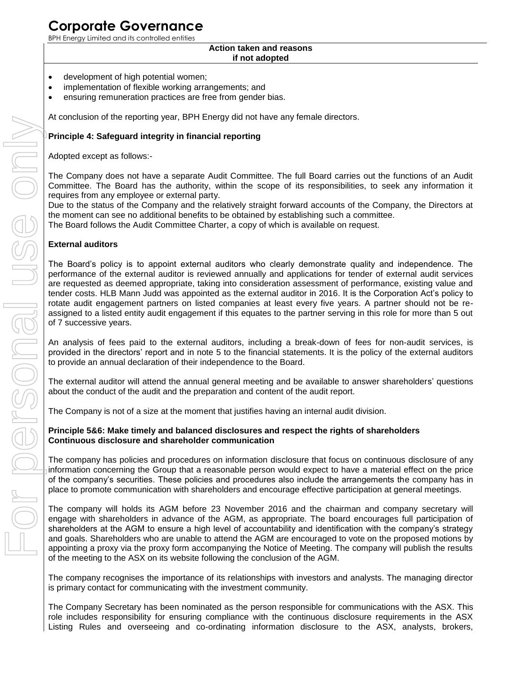BPH Energy Limited and its controlled entities

#### **Action taken and reasons if not adopted**

- development of high potential women;
- implementation of flexible working arrangements; and
- ensuring remuneration practices are free from gender bias.

At conclusion of the reporting year, BPH Energy did not have any female directors.

## **Principle 4: Safeguard integrity in financial reporting**

Adopted except as follows:-

The Company does not have a separate Audit Committee. The full Board carries out the functions of an Audit Committee. The Board has the authority, within the scope of its responsibilities, to seek any information it requires from any employee or external party.

Due to the status of the Company and the relatively straight forward accounts of the Company, the Directors at the moment can see no additional benefits to be obtained by establishing such a committee.

The Board follows the Audit Committee Charter, a copy of which is available on request.

### **External auditors**

The Board's policy is to appoint external auditors who clearly demonstrate quality and independence. The performance of the external auditor is reviewed annually and applications for tender of external audit services are requested as deemed appropriate, taking into consideration assessment of performance, existing value and tender costs. HLB Mann Judd was appointed as the external auditor in 2016. It is the Corporation Act's policy to rotate audit engagement partners on listed companies at least every five years. A partner should not be reassigned to a listed entity audit engagement if this equates to the partner serving in this role for more than 5 out of 7 successive years.

An analysis of fees paid to the external auditors, including a break-down of fees for non-audit services, is provided in the directors' report and in note 5 to the financial statements. It is the policy of the external auditors to provide an annual declaration of their independence to the Board.

The external auditor will attend the annual general meeting and be available to answer shareholders' questions about the conduct of the audit and the preparation and content of the audit report.

The Company is not of a size at the moment that justifies having an internal audit division.

### **Principle 5&6: Make timely and balanced disclosures and respect the rights of shareholders Continuous disclosure and shareholder communication**

The company has policies and procedures on information disclosure that focus on continuous disclosure of any information concerning the Group that a reasonable person would expect to have a material effect on the price of the company's securities. These policies and procedures also include the arrangements the company has in place to promote communication with shareholders and encourage effective participation at general meetings.

The company will holds its AGM before 23 November 2016 and the chairman and company secretary will engage with shareholders in advance of the AGM, as appropriate. The board encourages full participation of shareholders at the AGM to ensure a high level of accountability and identification with the company's strategy and goals. Shareholders who are unable to attend the AGM are encouraged to vote on the proposed motions by appointing a proxy via the proxy form accompanying the Notice of Meeting. The company will publish the results of the meeting to the ASX on its website following the conclusion of the AGM.

The company recognises the importance of its relationships with investors and analysts. The managing director is primary contact for communicating with the investment community.

The Company Secretary has been nominated as the person responsible for communications with the ASX. This role includes responsibility for ensuring compliance with the continuous disclosure requirements in the ASX Listing Rules and overseeing and co-ordinating information disclosure to the ASX, analysts, brokers,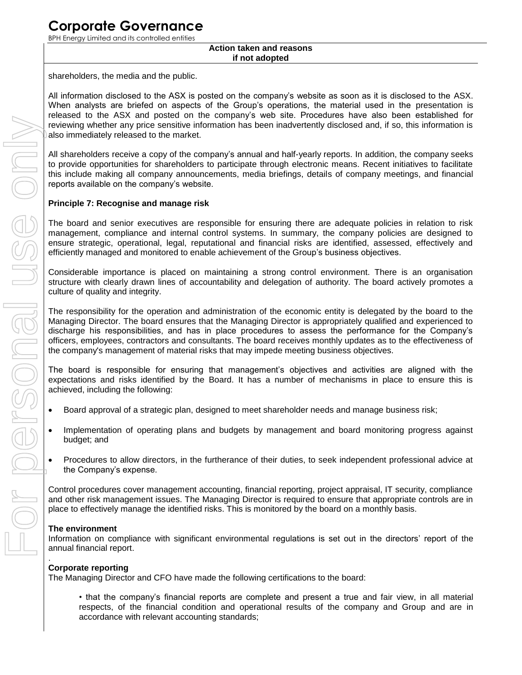BPH Energy Limited and its controlled entities

#### **Action taken and reasons if not adopted**

shareholders, the media and the public.

All information disclosed to the ASX is posted on the company's website as soon as it is disclosed to the ASX. When analysts are briefed on aspects of the Group's operations, the material used in the presentation is released to the ASX and posted on the company's web site. Procedures have also been established for reviewing whether any price sensitive information has been inadvertently disclosed and, if so, this information is also immediately released to the market.

All shareholders receive a copy of the company's annual and half-yearly reports. In addition, the company seeks to provide opportunities for shareholders to participate through electronic means. Recent initiatives to facilitate this include making all company announcements, media briefings, details of company meetings, and financial reports available on the company's website.

## **Principle 7: Recognise and manage risk**

The board and senior executives are responsible for ensuring there are adequate policies in relation to risk management, compliance and internal control systems. In summary, the company policies are designed to ensure strategic, operational, legal, reputational and financial risks are identified, assessed, effectively and efficiently managed and monitored to enable achievement of the Group's business objectives.

Considerable importance is placed on maintaining a strong control environment. There is an organisation structure with clearly drawn lines of accountability and delegation of authority. The board actively promotes a culture of quality and integrity.

The responsibility for the operation and administration of the economic entity is delegated by the board to the Managing Director. The board ensures that the Managing Director is appropriately qualified and experienced to discharge his responsibilities, and has in place procedures to assess the performance for the Company's officers, employees, contractors and consultants. The board receives monthly updates as to the effectiveness of the company's management of material risks that may impede meeting business objectives.

The board is responsible for ensuring that management's objectives and activities are aligned with the expectations and risks identified by the Board. It has a number of mechanisms in place to ensure this is achieved, including the following:

- Board approval of a strategic plan, designed to meet shareholder needs and manage business risk;
- Implementation of operating plans and budgets by management and board monitoring progress against budget; and
- Procedures to allow directors, in the furtherance of their duties, to seek independent professional advice at the Company's expense.

Control procedures cover management accounting, financial reporting, project appraisal, IT security, compliance and other risk management issues. The Managing Director is required to ensure that appropriate controls are in place to effectively manage the identified risks. This is monitored by the board on a monthly basis.

### **The environment**

Information on compliance with significant environmental regulations is set out in the directors' report of the annual financial report.

#### . **Corporate reporting**

The Managing Director and CFO have made the following certifications to the board:

• that the company's financial reports are complete and present a true and fair view, in all material respects, of the financial condition and operational results of the company and Group and are in accordance with relevant accounting standards;